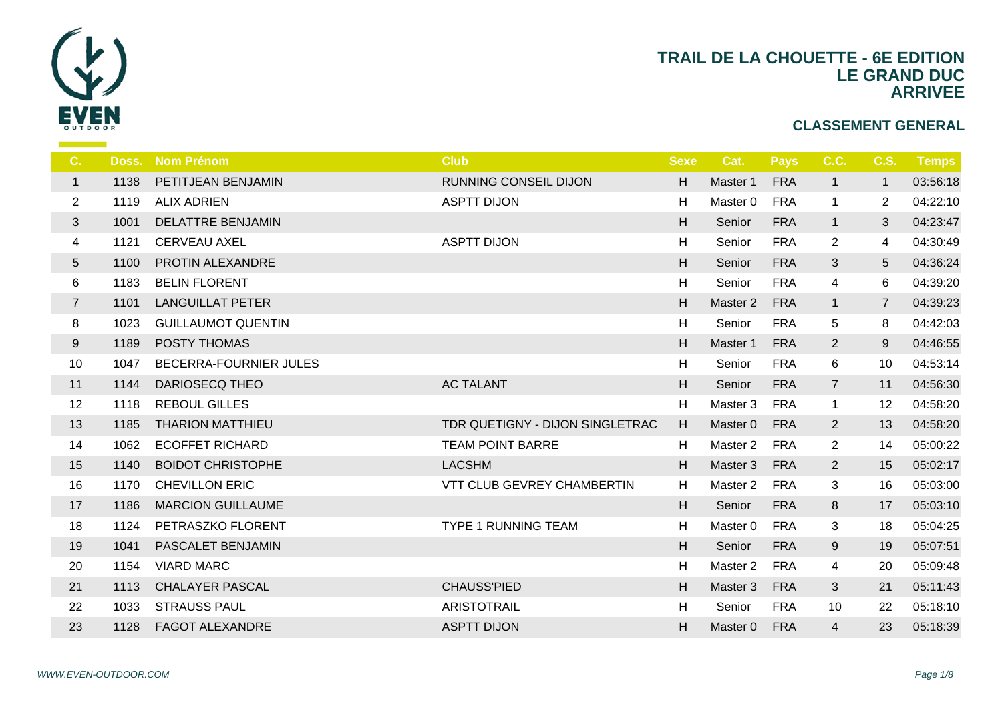

| C.             | Doss. | <b>Nom Prénom</b>         | <b>Club</b>                     | <b>Sexe</b> |                  |
|----------------|-------|---------------------------|---------------------------------|-------------|------------------|
| $\mathbf{1}$   | 1138  | PETITJEAN BENJAMIN        | RUNNING CONSEIL DIJON           | H           | Ma:              |
| $\overline{2}$ | 1119  | <b>ALIX ADRIEN</b>        | <b>ASPTT DIJON</b>              | H           | Ma               |
| 3              | 1001  | <b>DELATTRE BENJAMIN</b>  |                                 | H           | S <sub>6</sub>   |
| 4              | 1121  | <b>CERVEAU AXEL</b>       | <b>ASPTT DIJON</b>              | H           | S <sub>d</sub>   |
| 5              | 1100  | PROTIN ALEXANDRE          |                                 | H           | $S_6$            |
| 6              | 1183  | <b>BELIN FLORENT</b>      |                                 | H           | $S_{\mathsf{G}}$ |
| $\overline{7}$ | 1101  | <b>LANGUILLAT PETER</b>   |                                 | H           | Mas              |
| 8              | 1023  | <b>GUILLAUMOT QUENTIN</b> |                                 | H           | S6               |
| 9              | 1189  | POSTY THOMAS              |                                 | H           | Ma               |
| 10             | 1047  | BECERRA-FOURNIER JULES    |                                 | H           | S <sub>6</sub>   |
| 11             | 1144  | <b>DARIOSECQ THEO</b>     | <b>AC TALANT</b>                | H           | $S_6$            |
| 12             | 1118  | <b>REBOUL GILLES</b>      |                                 | H           | Ma               |
| 13             | 1185  | <b>THARION MATTHIEU</b>   | TDR QUETIGNY - DIJON SINGLETRAC | H           | Ma               |
| 14             | 1062  | <b>ECOFFET RICHARD</b>    | <b>TEAM POINT BARRE</b>         | H           | Ma               |
| 15             | 1140  | <b>BOIDOT CHRISTOPHE</b>  | <b>LACSHM</b>                   | H           | Ma               |
| 16             | 1170  | <b>CHEVILLON ERIC</b>     | VTT CLUB GEVREY CHAMBERTIN      | H           | Ma               |
| 17             | 1186  | <b>MARCION GUILLAUME</b>  |                                 | H           | S <sub>6</sub>   |
| 18             | 1124  | PETRASZKO FLORENT         | <b>TYPE 1 RUNNING TEAM</b>      | H           | Ma               |
| 19             | 1041  | PASCALET BENJAMIN         |                                 | H           | S <sub>6</sub>   |
| 20             | 1154  | <b>VIARD MARC</b>         |                                 | H           | Ma               |
| 21             | 1113  | <b>CHALAYER PASCAL</b>    | <b>CHAUSS'PIED</b>              | H           | Ma               |
| 22             | 1033  | <b>STRAUSS PAUL</b>       | <b>ARISTOTRAIL</b>              | H           | S <sub>d</sub>   |
| 23             | 1128  | <b>FAGOT ALEXANDRE</b>    | <b>ASPTT DIJON</b>              | H.          | Mas              |
|                |       |                           |                                 |             |                  |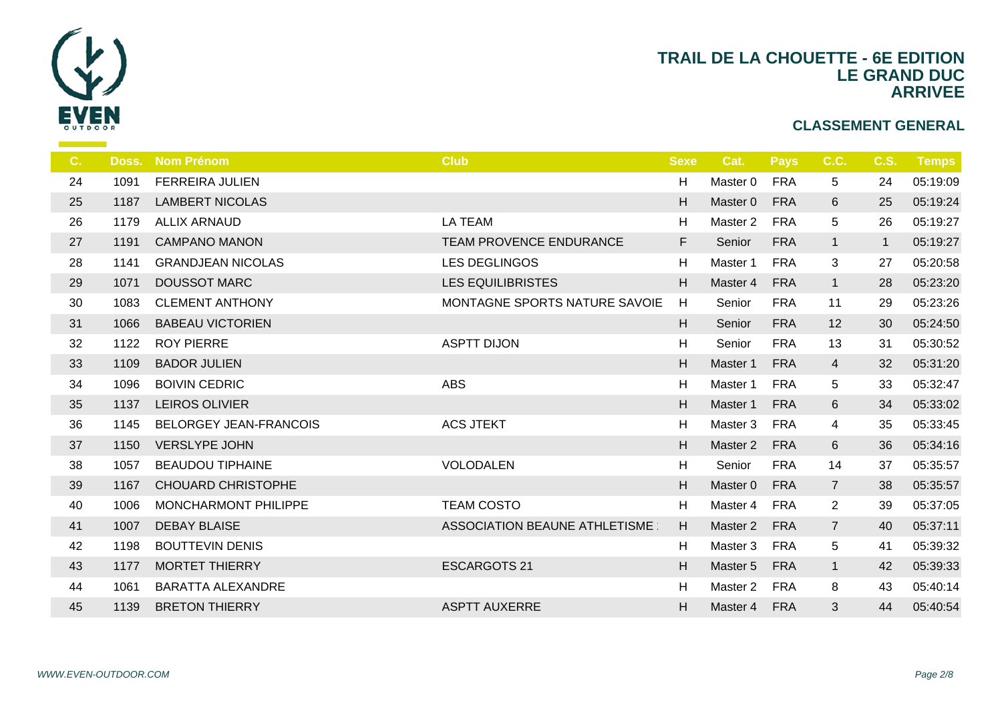

| C. | Doss. | <b>Nom Prénom</b>           | <b>Club</b>                   | <b>Sexe</b> | -C               |
|----|-------|-----------------------------|-------------------------------|-------------|------------------|
| 24 | 1091  | <b>FERREIRA JULIEN</b>      |                               | H           | Ma               |
| 25 | 1187  | <b>LAMBERT NICOLAS</b>      |                               | H           | Ma               |
| 26 | 1179  | <b>ALLIX ARNAUD</b>         | <b>LA TEAM</b>                | H           | Ma               |
| 27 | 1191  | <b>CAMPANO MANON</b>        | TEAM PROVENCE ENDURANCE       | F           | S <sub>6</sub>   |
| 28 | 1141  | <b>GRANDJEAN NICOLAS</b>    | <b>LES DEGLINGOS</b>          | H           | Ma               |
| 29 | 1071  | <b>DOUSSOT MARC</b>         | <b>LES EQUILIBRISTES</b>      | H           | Ma               |
| 30 | 1083  | <b>CLEMENT ANTHONY</b>      | MONTAGNE SPORTS NATURE SAVOIE | H           | Se               |
| 31 | 1066  | <b>BABEAU VICTORIEN</b>     |                               | H           | S <sub>6</sub>   |
| 32 | 1122  | <b>ROY PIERRE</b>           | <b>ASPTT DIJON</b>            | H           | $S_{\mathsf{G}}$ |
| 33 | 1109  | <b>BADOR JULIEN</b>         |                               | H           | Ma               |
| 34 | 1096  | <b>BOIVIN CEDRIC</b>        | <b>ABS</b>                    | H           | Ma               |
| 35 | 1137  | <b>LEIROS OLIVIER</b>       |                               | H           | Ma               |
| 36 | 1145  | BELORGEY JEAN-FRANCOIS      | <b>ACS JTEKT</b>              | H           | Ma               |
| 37 | 1150  | <b>VERSLYPE JOHN</b>        |                               | H           | Ma               |
| 38 | 1057  | <b>BEAUDOU TIPHAINE</b>     | <b>VOLODALEN</b>              | H           | S <sub>d</sub>   |
| 39 | 1167  | <b>CHOUARD CHRISTOPHE</b>   |                               | H           | Ma               |
| 40 | 1006  | <b>MONCHARMONT PHILIPPE</b> | <b>TEAM COSTO</b>             | H           | Ma               |
| 41 | 1007  | <b>DEBAY BLAISE</b>         | ASSOCIATION BEAUNE ATHLETISME | H           | Ma               |
| 42 | 1198  | <b>BOUTTEVIN DENIS</b>      |                               | H           | Ma               |
| 43 | 1177  | <b>MORTET THIERRY</b>       | <b>ESCARGOTS 21</b>           | H           | Mas              |
| 44 | 1061  | <b>BARATTA ALEXANDRE</b>    |                               | H           | Ma               |
| 45 | 1139  | <b>BRETON THIERRY</b>       | <b>ASPTT AUXERRE</b>          | H           | Mas              |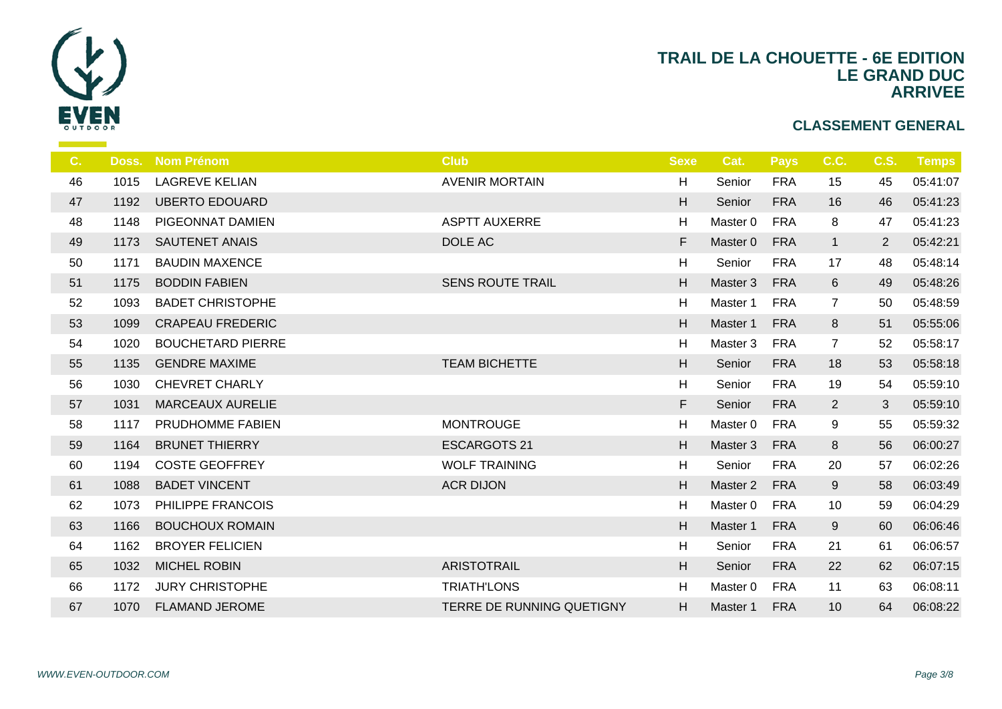

| C. | Doss. | <b>Nom Prénom</b>        | <b>Club</b>               | <b>Sexe</b>               | $\mathbf C$    |
|----|-------|--------------------------|---------------------------|---------------------------|----------------|
| 46 | 1015  | <b>LAGREVE KELIAN</b>    | <b>AVENIR MORTAIN</b>     | H                         | S <sub>d</sub> |
| 47 | 1192  | <b>UBERTO EDOUARD</b>    |                           | H                         | S <sub>6</sub> |
| 48 | 1148  | PIGEONNAT DAMIEN         | <b>ASPTT AUXERRE</b>      | H                         | Ma             |
| 49 | 1173  | <b>SAUTENET ANAIS</b>    | DOLE AC                   | F                         | Ma             |
| 50 | 1171  | <b>BAUDIN MAXENCE</b>    |                           | H                         | S <sub>6</sub> |
| 51 | 1175  | <b>BODDIN FABIEN</b>     | <b>SENS ROUTE TRAIL</b>   | H                         | Mas            |
| 52 | 1093  | <b>BADET CHRISTOPHE</b>  |                           | H                         | Ma             |
| 53 | 1099  | <b>CRAPEAU FREDERIC</b>  |                           | H                         | Ma             |
| 54 | 1020  | <b>BOUCHETARD PIERRE</b> |                           | H                         | Ma             |
| 55 | 1135  | <b>GENDRE MAXIME</b>     | <b>TEAM BICHETTE</b>      | H                         | S <sub>6</sub> |
| 56 | 1030  | <b>CHEVRET CHARLY</b>    |                           | H                         | S <sub>6</sub> |
| 57 | 1031  | <b>MARCEAUX AURELIE</b>  |                           | F                         | S <sub>6</sub> |
| 58 | 1117  | PRUDHOMME FABIEN         | <b>MONTROUGE</b>          | H                         | Ma             |
| 59 | 1164  | <b>BRUNET THIERRY</b>    | <b>ESCARGOTS 21</b>       | H                         | Mas            |
| 60 | 1194  | <b>COSTE GEOFFREY</b>    | <b>WOLF TRAINING</b>      | $\boldsymbol{\mathsf{H}}$ | S <sub>d</sub> |
| 61 | 1088  | <b>BADET VINCENT</b>     | <b>ACR DIJON</b>          | H                         | Ma             |
| 62 | 1073  | PHILIPPE FRANCOIS        |                           | H                         | Ma             |
| 63 | 1166  | <b>BOUCHOUX ROMAIN</b>   |                           | H                         | Mas            |
| 64 | 1162  | <b>BROYER FELICIEN</b>   |                           | H                         | S6             |
| 65 | 1032  | <b>MICHEL ROBIN</b>      | <b>ARISTOTRAIL</b>        | H                         | S <sub>6</sub> |
| 66 | 1172  | <b>JURY CHRISTOPHE</b>   | <b>TRIATH'LONS</b>        | H                         | Ma             |
| 67 | 1070  | <b>FLAMAND JEROME</b>    | TERRE DE RUNNING QUETIGNY | H.                        | Mas            |
|    |       |                          |                           |                           |                |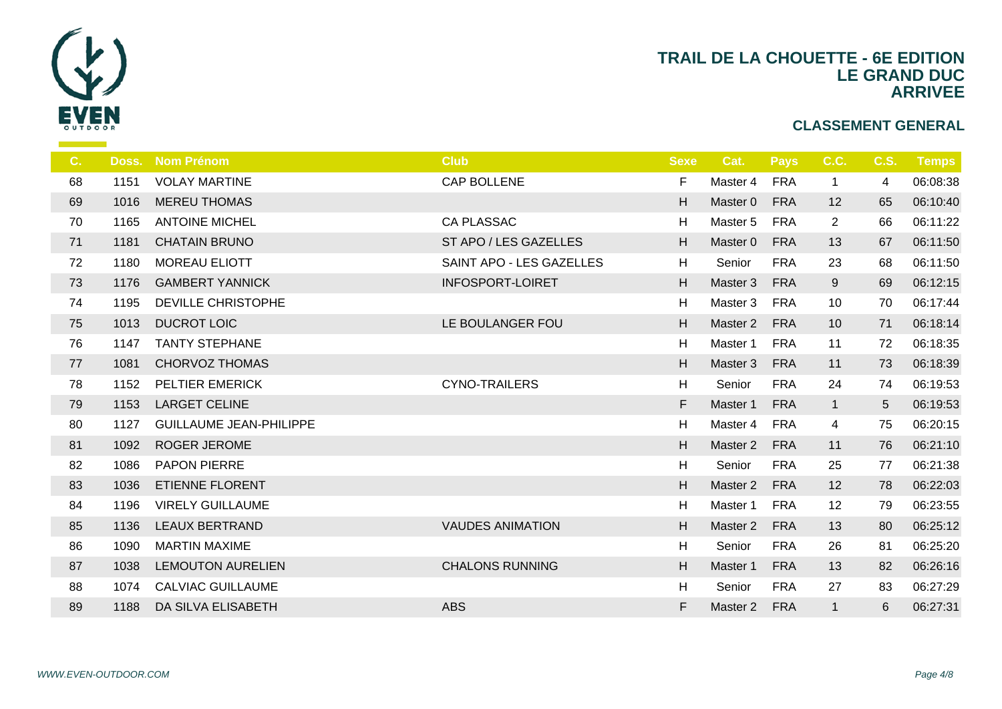

| C. | Doss. | <b>Nom Prénom</b>              | <b>Club</b>              | <b>Sexe</b> | $\mathbf C$    |
|----|-------|--------------------------------|--------------------------|-------------|----------------|
| 68 | 1151  | <b>VOLAY MARTINE</b>           | CAP BOLLENE              | F           | Ma:            |
| 69 | 1016  | <b>MEREU THOMAS</b>            |                          | H           | Ma             |
| 70 | 1165  | <b>ANTOINE MICHEL</b>          | <b>CA PLASSAC</b>        | H           | Ma             |
| 71 | 1181  | <b>CHATAIN BRUNO</b>           | ST APO / LES GAZELLES    | H           | Mas            |
| 72 | 1180  | <b>MOREAU ELIOTT</b>           | SAINT APO - LES GAZELLES | H           | S <sub>6</sub> |
| 73 | 1176  | <b>GAMBERT YANNICK</b>         | <b>INFOSPORT-LOIRET</b>  | H           | Ma             |
| 74 | 1195  | DEVILLE CHRISTOPHE             |                          | H           | Ma             |
| 75 | 1013  | <b>DUCROT LOIC</b>             | LE BOULANGER FOU         | H           | Ma             |
| 76 | 1147  | <b>TANTY STEPHANE</b>          |                          | H           | Ma             |
| 77 | 1081  | <b>CHORVOZ THOMAS</b>          |                          | H           | Mas            |
| 78 | 1152  | PELTIER EMERICK                | <b>CYNO-TRAILERS</b>     | H           | S6             |
| 79 | 1153  | <b>LARGET CELINE</b>           |                          | F           | Ma             |
| 80 | 1127  | <b>GUILLAUME JEAN-PHILIPPE</b> |                          | H           | Ma             |
| 81 | 1092  | ROGER JEROME                   |                          | H           | Mas            |
| 82 | 1086  | PAPON PIERRE                   |                          | H           | S <sub>6</sub> |
| 83 | 1036  | <b>ETIENNE FLORENT</b>         |                          | H           | Ma             |
| 84 | 1196  | <b>VIRELY GUILLAUME</b>        |                          | H           | Ma             |
| 85 | 1136  | <b>LEAUX BERTRAND</b>          | <b>VAUDES ANIMATION</b>  | H           | Ma             |
| 86 | 1090  | <b>MARTIN MAXIME</b>           |                          | H           | S <sub>6</sub> |
| 87 | 1038  | <b>LEMOUTON AURELIEN</b>       | <b>CHALONS RUNNING</b>   | H           | Ma             |
| 88 | 1074  | <b>CALVIAC GUILLAUME</b>       |                          | H           | S <sub>6</sub> |
| 89 | 1188  | DA SILVA ELISABETH             | <b>ABS</b>               | F           | Mas            |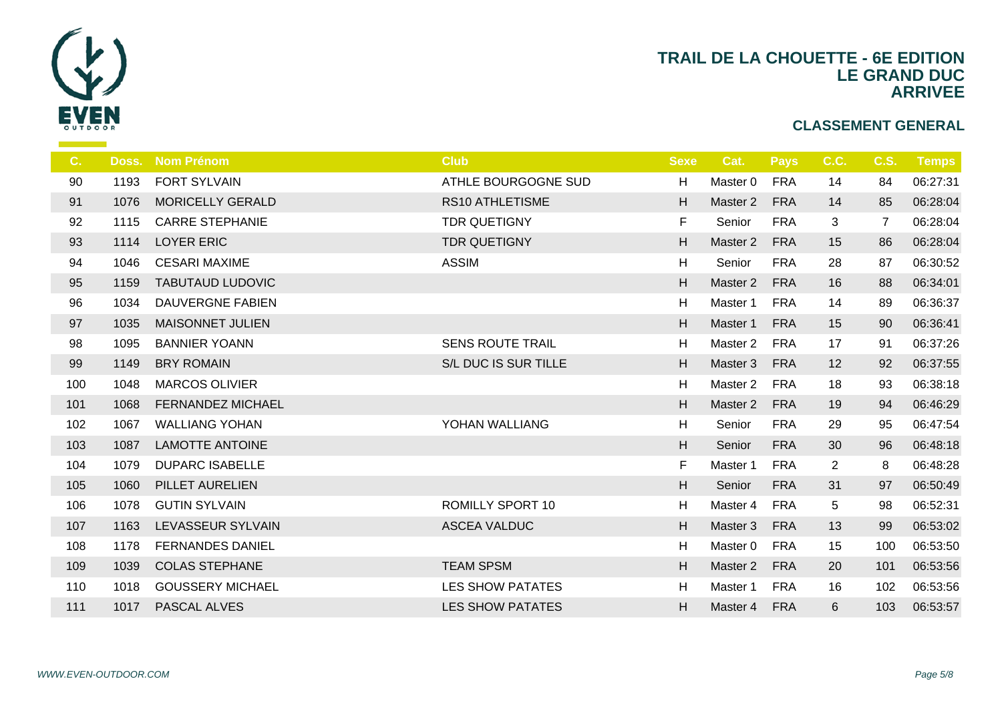

| C.  | Doss. | <b>Nom Prénom</b>        | <b>Club</b>             | <b>Sexe</b> |                |
|-----|-------|--------------------------|-------------------------|-------------|----------------|
| 90  | 1193  | <b>FORT SYLVAIN</b>      | ATHLE BOURGOGNE SUD     | H           | Ma:            |
| 91  | 1076  | <b>MORICELLY GERALD</b>  | <b>RS10 ATHLETISME</b>  | H           | Ma             |
| 92  | 1115  | <b>CARRE STEPHANIE</b>   | <b>TDR QUETIGNY</b>     | F.          | S6             |
| 93  | 1114  | <b>LOYER ERIC</b>        | <b>TDR QUETIGNY</b>     | H           | Ma             |
| 94  | 1046  | <b>CESARI MAXIME</b>     | <b>ASSIM</b>            | H           | S6             |
| 95  | 1159  | <b>TABUTAUD LUDOVIC</b>  |                         | H           | Ma             |
| 96  | 1034  | DAUVERGNE FABIEN         |                         | H           | Ma             |
| 97  | 1035  | <b>MAISONNET JULIEN</b>  |                         | H           | Ma             |
| 98  | 1095  | <b>BANNIER YOANN</b>     | <b>SENS ROUTE TRAIL</b> | H           | Ma             |
| 99  | 1149  | <b>BRY ROMAIN</b>        | S/L DUC IS SUR TILLE    | H           | Ma             |
| 100 | 1048  | <b>MARCOS OLIVIER</b>    |                         | H           | Ma             |
| 101 | 1068  | <b>FERNANDEZ MICHAEL</b> |                         | H           | Ma             |
| 102 | 1067  | <b>WALLIANG YOHAN</b>    | YOHAN WALLIANG          | H           | $S_6$          |
| 103 | 1087  | <b>LAMOTTE ANTOINE</b>   |                         | H           | S <sub>6</sub> |
| 104 | 1079  | <b>DUPARC ISABELLE</b>   |                         | F.          | Ma             |
| 105 | 1060  | PILLET AURELIEN          |                         | H           | S <sub>6</sub> |
| 106 | 1078  | <b>GUTIN SYLVAIN</b>     | <b>ROMILLY SPORT 10</b> | H           | Ma             |
| 107 | 1163  | LEVASSEUR SYLVAIN        | <b>ASCEA VALDUC</b>     | H           | Ma:            |
| 108 | 1178  | <b>FERNANDES DANIEL</b>  |                         | H           | Ma             |
| 109 | 1039  | <b>COLAS STEPHANE</b>    | <b>TEAM SPSM</b>        | H           | Ma             |
| 110 | 1018  | <b>GOUSSERY MICHAEL</b>  | LES SHOW PATATES        | H           | Ma             |
| 111 | 1017  | PASCAL ALVES             | <b>LES SHOW PATATES</b> | H           | Mas            |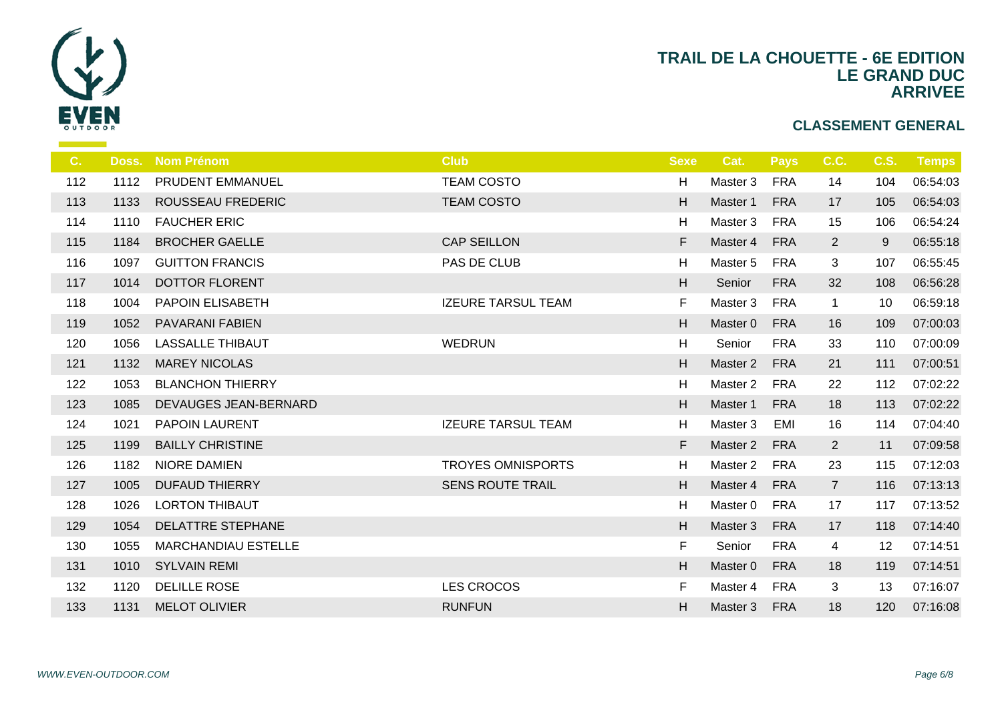

| C.  | Doss. | <b>Nom Prénom</b>          | <b>Club</b>               | <b>Sexe</b> |                |
|-----|-------|----------------------------|---------------------------|-------------|----------------|
| 112 | 1112  | PRUDENT EMMANUEL           | <b>TEAM COSTO</b>         | H           | Ma             |
| 113 | 1133  | ROUSSEAU FREDERIC          | <b>TEAM COSTO</b>         | H           | Ma             |
| 114 | 1110  | <b>FAUCHER ERIC</b>        |                           | H           | Ma             |
| 115 | 1184  | <b>BROCHER GAELLE</b>      | <b>CAP SEILLON</b>        | F           | Ma             |
| 116 | 1097  | <b>GUITTON FRANCIS</b>     | PAS DE CLUB               | H           | Ma             |
| 117 | 1014  | <b>DOTTOR FLORENT</b>      |                           | H           | S <sub>6</sub> |
| 118 | 1004  | PAPOIN ELISABETH           | <b>IZEURE TARSUL TEAM</b> | F.          | Ma             |
| 119 | 1052  | PAVARANI FABIEN            |                           | H           | Ma             |
| 120 | 1056  | <b>LASSALLE THIBAUT</b>    | <b>WEDRUN</b>             | H           | S <sub>6</sub> |
| 121 | 1132  | <b>MAREY NICOLAS</b>       |                           | H           | Ma             |
| 122 | 1053  | <b>BLANCHON THIERRY</b>    |                           | H           | Ma             |
| 123 | 1085  | DEVAUGES JEAN-BERNARD      |                           | H           | Ma             |
| 124 | 1021  | <b>PAPOIN LAURENT</b>      | <b>IZEURE TARSUL TEAM</b> | H           | Ma             |
| 125 | 1199  | <b>BAILLY CHRISTINE</b>    |                           | F           | Ma             |
| 126 | 1182  | NIORE DAMIEN               | <b>TROYES OMNISPORTS</b>  | H           | Ma             |
| 127 | 1005  | <b>DUFAUD THIERRY</b>      | <b>SENS ROUTE TRAIL</b>   | H           | Ma             |
| 128 | 1026  | <b>LORTON THIBAUT</b>      |                           | H           | Ma             |
| 129 | 1054  | <b>DELATTRE STEPHANE</b>   |                           | H           | Ma             |
| 130 | 1055  | <b>MARCHANDIAU ESTELLE</b> |                           | F.          | $S_6$          |
| 131 | 1010  | <b>SYLVAIN REMI</b>        |                           | H           | Ma             |
| 132 | 1120  | DELILLE ROSE               | <b>LES CROCOS</b>         | F           | Ma             |
| 133 | 1131  | <b>MELOT OLIVIER</b>       | <b>RUNFUN</b>             | H.          | Ma             |
|     |       |                            |                           |             |                |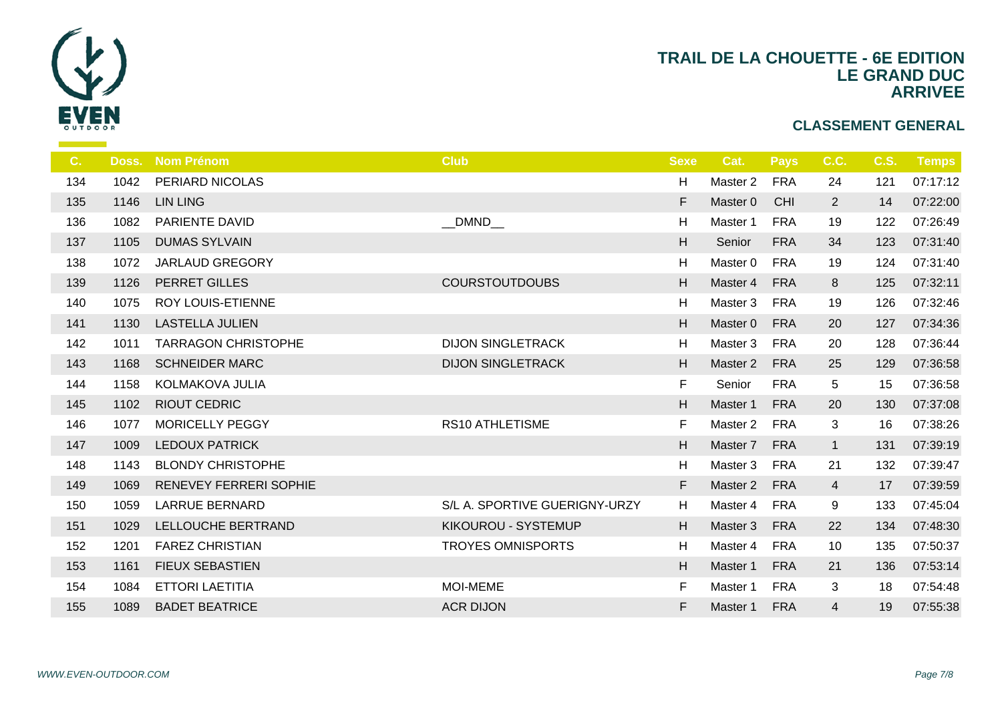

| C.  | Doss. | <b>Nom Prénom</b>             | <b>Club</b>                   | <b>Sexe</b> |                |
|-----|-------|-------------------------------|-------------------------------|-------------|----------------|
| 134 | 1042  | PERIARD NICOLAS               |                               | H           | Ma:            |
| 135 | 1146  | <b>LIN LING</b>               |                               | F           | Ma             |
| 136 | 1082  | <b>PARIENTE DAVID</b>         | DMND                          | H           | Ma:            |
| 137 | 1105  | <b>DUMAS SYLVAIN</b>          |                               | H           | S <sub>6</sub> |
| 138 | 1072  | <b>JARLAUD GREGORY</b>        |                               | H           | Ma             |
| 139 | 1126  | PERRET GILLES                 | <b>COURSTOUTDOUBS</b>         | H           | Ma             |
| 140 | 1075  | <b>ROY LOUIS-ETIENNE</b>      |                               | H           | Ma             |
| 141 | 1130  | <b>LASTELLA JULIEN</b>        |                               | H           | Ma             |
| 142 | 1011  | <b>TARRAGON CHRISTOPHE</b>    | <b>DIJON SINGLETRACK</b>      | H           | Ma             |
| 143 | 1168  | <b>SCHNEIDER MARC</b>         | <b>DIJON SINGLETRACK</b>      | H           | Ma             |
| 144 | 1158  | KOLMAKOVA JULIA               |                               | F           | S <sub>d</sub> |
| 145 | 1102  | <b>RIOUT CEDRIC</b>           |                               | H           | Ma             |
| 146 | 1077  | <b>MORICELLY PEGGY</b>        | <b>RS10 ATHLETISME</b>        | F           | Ma             |
| 147 | 1009  | <b>LEDOUX PATRICK</b>         |                               | H           | Ma             |
| 148 | 1143  | <b>BLONDY CHRISTOPHE</b>      |                               | H           | Ma             |
| 149 | 1069  | <b>RENEVEY FERRERI SOPHIE</b> |                               | F           | Ma             |
| 150 | 1059  | <b>LARRUE BERNARD</b>         | S/L A. SPORTIVE GUERIGNY-URZY | H           | Ma             |
| 151 | 1029  | LELLOUCHE BERTRAND            | KIKOUROU - SYSTEMUP           | H           | Ma             |
| 152 | 1201  | <b>FAREZ CHRISTIAN</b>        | <b>TROYES OMNISPORTS</b>      | H           | Ma             |
| 153 | 1161  | <b>FIEUX SEBASTIEN</b>        |                               | H           | Ma             |
| 154 | 1084  | <b>ETTORI LAETITIA</b>        | <b>MOI-MEME</b>               | F           | Ma             |
| 155 | 1089  | <b>BADET BEATRICE</b>         | <b>ACR DIJON</b>              | F           | Ma:            |